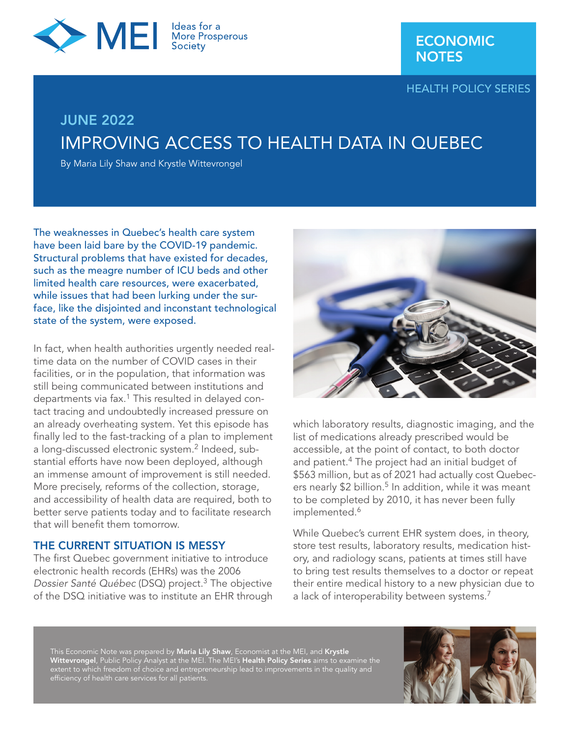

HEALTH POLICY SERIES

# JUNE 2022 IMPROVING ACCESS TO HEALTH DATA IN QUEBEC

By Maria Lily Shaw and Krystle Wittevrongel

The weaknesses in Quebec's health care system have been laid bare by the COVID-19 pandemic. Structural problems that have existed for decades, such as the meagre number of ICU beds and other limited health care resources, were exacerbated, while issues that had been lurking under the surface, like the disjointed and inconstant technological state of the system, were exposed.

In fact, when health authorities urgently needed realtime data on the number of COVID cases in their facilities, or in the population, that information was still being communicated between institutions and departments via fax.<sup>1</sup> This resulted in delayed contact tracing and undoubtedly increased pressure on an already overheating system. Yet this episode has finally led to the fast-tracking of a plan to implement a long-discussed electronic system.<sup>2</sup> Indeed, substantial efforts have now been deployed, although an immense amount of improvement is still needed. More precisely, reforms of the collection, storage, and accessibility of health data are required, both to better serve patients today and to facilitate research that will benefit them tomorrow.

## THE CURRENT SITUATION IS MESSY

The first Quebec government initiative to introduce electronic health records (EHRs) was the 2006 *Dossier Santé Québec* (DSQ) project.3 The objective of the DSQ initiative was to institute an EHR through



which laboratory results, diagnostic imaging, and the list of medications already prescribed would be accessible, at the point of contact, to both doctor and patient.<sup>4</sup> The project had an initial budget of \$563 million, but as of 2021 had actually cost Quebecers nearly  $$2$  billion.<sup>5</sup> In addition, while it was meant to be completed by 2010, it has never been fully implemented.<sup>6</sup>

While Quebec's current EHR system does, in theory, store test results, laboratory results, medication history, and radiology scans, patients at times still have to bring test results themselves to a doctor or repeat their entire medical history to a new physician due to a lack of interoperability between systems.<sup>7</sup>

This Economic Note was prepared by **Maria Lily Shaw**, Economist at the MEI, and **Krystle Wittevrongel**, Public Policy Analyst at the MEI. The MEI's **Health Policy Series** aims to examine the extent to which freedom of choice and entrepreneurship lead to improvements in the quality and

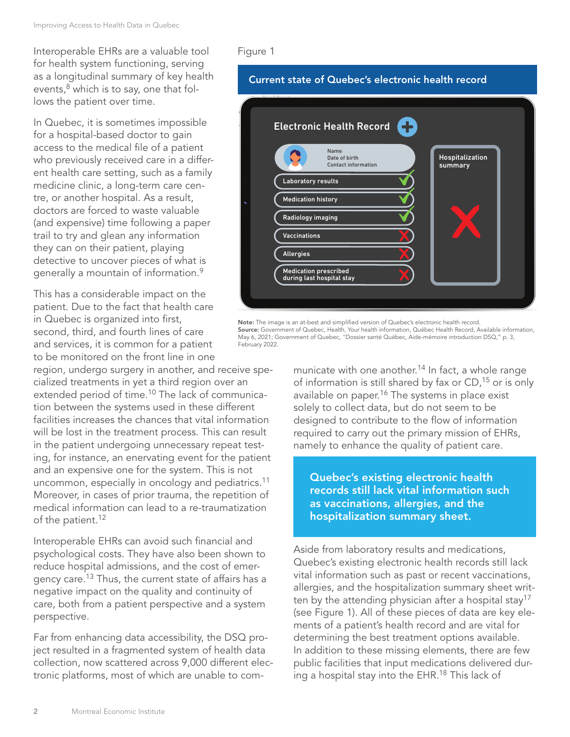Interoperable EHRs are a valuable tool for health system functioning, serving as a longitudinal summary of key health events, $8$  which is to say, one that follows the patient over time.

In Quebec, it is sometimes impossible for a hospital-based doctor to gain access to the medical file of a patient who previously received care in a different health care setting, such as a family medicine clinic, a long-term care centre, or another hospital. As a result, doctors are forced to waste valuable (and expensive) time following a paper trail to try and glean any information they can on their patient, playing detective to uncover pieces of what is generally a mountain of information.9

This has a considerable impact on the patient. Due to the fact that health care in Quebec is organized into first, second, third, and fourth lines of care and services, it is common for a patient to be monitored on the front line in one

region, undergo surgery in another, and receive specialized treatments in yet a third region over an extended period of time.<sup>10</sup> The lack of communication between the systems used in these different facilities increases the chances that vital information will be lost in the treatment process. This can result in the patient undergoing unnecessary repeat testing, for instance, an enervating event for the patient and an expensive one for the system. This is not uncommon, especially in oncology and pediatrics.<sup>11</sup> Moreover, in cases of prior trauma, the repetition of medical information can lead to a re-traumatization of the patient.<sup>12</sup>

Interoperable EHRs can avoid such financial and psychological costs. They have also been shown to reduce hospital admissions, and the cost of emergency care.13 Thus, the current state of affairs has a negative impact on the quality and continuity of care, both from a patient perspective and a system perspective.

Far from enhancing data accessibility, the DSQ project resulted in a fragmented system of health data collection, now scattered across 9,000 different electronic platforms, most of which are unable to com-

### Figure 1

# Current state of Quebec's electronic health record

| Ŧ<br><b>Electronic Health Record</b>                      |                            |
|-----------------------------------------------------------|----------------------------|
| Name<br>Date of birth<br><b>Contact information</b>       | Hospitalization<br>summary |
| Laboratory results                                        |                            |
| <b>Medication history</b>                                 |                            |
| Radiology imaging<br><b>Vaccinations</b>                  |                            |
| <b>Allergies</b>                                          |                            |
| <b>Medication prescribed</b><br>during last hospital stay |                            |
|                                                           |                            |

Note: The image is an at-best and simplified version of Quebec's electronic health record. Source: Government of Quebec, Health, Your health information, Québec Health Record, Available information, May 6, 2021; Government of Quebec, "Dossier santé Québec, Aide-mémoire introduction DSQ," p. 3, February 2022.

> municate with one another.<sup>14</sup> In fact, a whole range of information is still shared by fax or CD,<sup>15</sup> or is only available on paper.<sup>16</sup> The systems in place exist solely to collect data, but do not seem to be designed to contribute to the flow of information required to carry out the primary mission of EHRs, namely to enhance the quality of patient care.

Quebec's existing electronic health records still lack vital information such as vaccinations, allergies, and the hospitalization summary sheet.

Aside from laboratory results and medications, Quebec's existing electronic health records still lack vital information such as past or recent vaccinations, allergies, and the hospitalization summary sheet written by the attending physician after a hospital stay<sup>17</sup> (see Figure 1). All of these pieces of data are key elements of a patient's health record and are vital for determining the best treatment options available. In addition to these missing elements, there are few public facilities that input medications delivered during a hospital stay into the EHR.<sup>18</sup> This lack of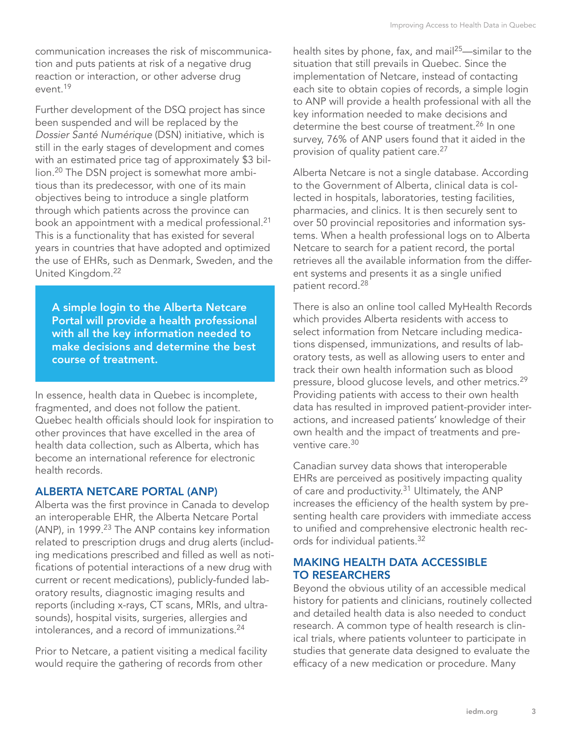communication increases the risk of miscommunication and puts patients at risk of a negative drug reaction or interaction, or other adverse drug event<sup>19</sup>

Further development of the DSQ project has since been suspended and will be replaced by the *Dossier Santé Numérique* (DSN) initiative, which is still in the early stages of development and comes with an estimated price tag of approximately \$3 billion.20 The DSN project is somewhat more ambitious than its predecessor, with one of its main objectives being to introduce a single platform through which patients across the province can book an appointment with a medical professional.<sup>21</sup> This is a functionality that has existed for several years in countries that have adopted and optimized the use of EHRs, such as Denmark, Sweden, and the United Kingdom.22

A simple login to the Alberta Netcare Portal will provide a health professional with all the key information needed to make decisions and determine the best course of treatment.

In essence, health data in Quebec is incomplete, fragmented, and does not follow the patient. Quebec health officials should look for inspiration to other provinces that have excelled in the area of health data collection, such as Alberta, which has become an international reference for electronic health records.

### ALBERTA NETCARE PORTAL (ANP)

Alberta was the first province in Canada to develop an interoperable EHR, the Alberta Netcare Portal (ANP), in 1999.<sup>23</sup> The ANP contains key information related to prescription drugs and drug alerts (including medications prescribed and filled as well as notifications of potential interactions of a new drug with current or recent medications), publicly-funded laboratory results, diagnostic imaging results and reports (including x-rays, CT scans, MRIs, and ultrasounds), hospital visits, surgeries, allergies and intolerances, and a record of immunizations.24

Prior to Netcare, a patient visiting a medical facility would require the gathering of records from other

health sites by phone, fax, and mail<sup>25</sup>—similar to the situation that still prevails in Quebec. Since the implementation of Netcare, instead of contacting each site to obtain copies of records, a simple login to ANP will provide a health professional with all the key information needed to make decisions and determine the best course of treatment.<sup>26</sup> In one survey, 76% of ANP users found that it aided in the provision of quality patient care.<sup>27</sup>

Alberta Netcare is not a single database. According to the Government of Alberta, clinical data is collected in hospitals, laboratories, testing facilities, pharmacies, and clinics. It is then securely sent to over 50 provincial repositories and information systems. When a health professional logs on to Alberta Netcare to search for a patient record, the portal retrieves all the available information from the different systems and presents it as a single unified patient record.<sup>28</sup>

There is also an online tool called MyHealth Records which provides Alberta residents with access to select information from Netcare including medications dispensed, immunizations, and results of laboratory tests, as well as allowing users to enter and track their own health information such as blood pressure, blood glucose levels, and other metrics.29 Providing patients with access to their own health data has resulted in improved patient-provider interactions, and increased patients' knowledge of their own health and the impact of treatments and preventive care.30

Canadian survey data shows that interoperable EHRs are perceived as positively impacting quality of care and productivity.<sup>31</sup> Ultimately, the ANP increases the efficiency of the health system by presenting health care providers with immediate access to unified and comprehensive electronic health records for individual patients.32

## MAKING HEALTH DATA ACCESSIBLE TO RESEARCHERS

Beyond the obvious utility of an accessible medical history for patients and clinicians, routinely collected and detailed health data is also needed to conduct research. A common type of health research is clinical trials, where patients volunteer to participate in studies that generate data designed to evaluate the efficacy of a new medication or procedure. Many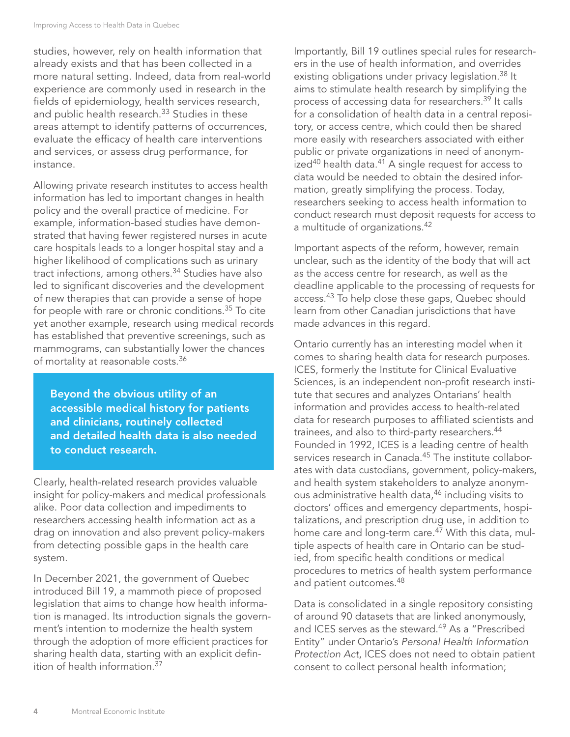studies, however, rely on health information that already exists and that has been collected in a more natural setting. Indeed, data from real-world experience are commonly used in research in the fields of epidemiology, health services research, and public health research.<sup>33</sup> Studies in these areas attempt to identify patterns of occurrences, evaluate the efficacy of health care interventions and services, or assess drug performance, for instance.

Allowing private research institutes to access health information has led to important changes in health policy and the overall practice of medicine. For example, information-based studies have demonstrated that having fewer registered nurses in acute care hospitals leads to a longer hospital stay and a higher likelihood of complications such as urinary tract infections, among others.<sup>34</sup> Studies have also led to significant discoveries and the development of new therapies that can provide a sense of hope for people with rare or chronic conditions.35 To cite yet another example, research using medical records has established that preventive screenings, such as mammograms, can substantially lower the chances of mortality at reasonable costs.<sup>36</sup>

Beyond the obvious utility of an accessible medical history for patients and clinicians, routinely collected and detailed health data is also needed to conduct research.

Clearly, health-related research provides valuable insight for policy-makers and medical professionals alike. Poor data collection and impediments to researchers accessing health information act as a drag on innovation and also prevent policy-makers from detecting possible gaps in the health care system.

In December 2021, the government of Quebec introduced Bill 19, a mammoth piece of proposed legislation that aims to change how health information is managed. Its introduction signals the government's intention to modernize the health system through the adoption of more efficient practices for sharing health data, starting with an explicit definition of health information.37

Importantly, Bill 19 outlines special rules for researchers in the use of health information, and overrides existing obligations under privacy legislation.<sup>38</sup> It aims to stimulate health research by simplifying the process of accessing data for researchers.<sup>39</sup> It calls for a consolidation of health data in a central repository, or access centre, which could then be shared more easily with researchers associated with either public or private organizations in need of anonym $i$ zed<sup>40</sup> health data.<sup>41</sup> A single request for access to data would be needed to obtain the desired information, greatly simplifying the process. Today, researchers seeking to access health information to conduct research must deposit requests for access to a multitude of organizations.<sup>42</sup>

Important aspects of the reform, however, remain unclear, such as the identity of the body that will act as the access centre for research, as well as the deadline applicable to the processing of requests for access.<sup>43</sup> To help close these gaps, Quebec should learn from other Canadian jurisdictions that have made advances in this regard.

Ontario currently has an interesting model when it comes to sharing health data for research purposes. ICES, formerly the Institute for Clinical Evaluative Sciences, is an independent non-profit research institute that secures and analyzes Ontarians' health information and provides access to health-related data for research purposes to affiliated scientists and trainees, and also to third-party researchers.<sup>44</sup> Founded in 1992, ICES is a leading centre of health services research in Canada.<sup>45</sup> The institute collaborates with data custodians, government, policy-makers, and health system stakeholders to analyze anonymous administrative health data,<sup>46</sup> including visits to doctors' offices and emergency departments, hospitalizations, and prescription drug use, in addition to home care and long-term care.<sup>47</sup> With this data, multiple aspects of health care in Ontario can be studied, from specific health conditions or medical procedures to metrics of health system performance and patient outcomes.<sup>48</sup>

Data is consolidated in a single repository consisting of around 90 datasets that are linked anonymously, and ICES serves as the steward.<sup>49</sup> As a "Prescribed Entity" under Ontario's *Personal Health Information Protection Act*, ICES does not need to obtain patient consent to collect personal health information;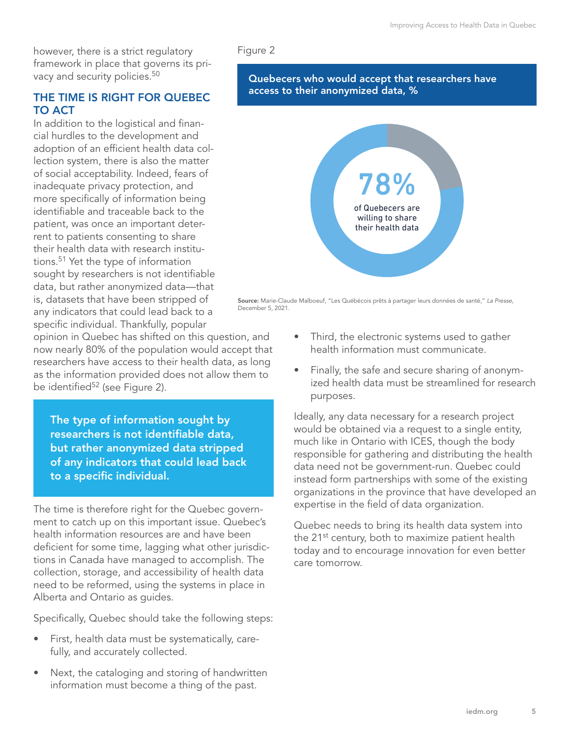however, there is a strict regulatory framework in place that governs its privacy and security policies.<sup>50</sup>

## THE TIME IS RIGHT FOR QUEBEC TO ACT

In addition to the logistical and financial hurdles to the development and adoption of an efficient health data collection system, there is also the matter of social acceptability. Indeed, fears of inadequate privacy protection, and more specifically of information being identifiable and traceable back to the patient, was once an important deterrent to patients consenting to share their health data with research institutions.51 Yet the type of information sought by researchers is not identifiable data, but rather anonymized data—that is, datasets that have been stripped of any indicators that could lead back to a specific individual. Thankfully, popular

opinion in Quebec has shifted on this question, and now nearly 80% of the population would accept that researchers have access to their health data, as long as the information provided does not allow them to be identified<sup>52</sup> (see Figure 2).

The type of information sought by researchers is not identifiable data, but rather anonymized data stripped of any indicators that could lead back to a specific individual.

The time is therefore right for the Quebec government to catch up on this important issue. Quebec's health information resources are and have been deficient for some time, lagging what other jurisdictions in Canada have managed to accomplish. The collection, storage, and accessibility of health data need to be reformed, using the systems in place in Alberta and Ontario as guides.

Specifically, Quebec should take the following steps:

- First, health data must be systematically, carefully, and accurately collected.
- Next, the cataloging and storing of handwritten information must become a thing of the past.

#### Figure 2

#### Quebecers who would accept that researchers have access to their anonymized data, %



Source: Marie-Claude Malboeuf, "Les Québécois prêts à partager leurs données de santé," *La Presse*, December 5, 2021.

- Third, the electronic systems used to gather health information must communicate.
- Finally, the safe and secure sharing of anonymized health data must be streamlined for research purposes.

Ideally, any data necessary for a research project would be obtained via a request to a single entity, much like in Ontario with ICES, though the body responsible for gathering and distributing the health data need not be government-run. Quebec could instead form partnerships with some of the existing organizations in the province that have developed an expertise in the field of data organization.

Quebec needs to bring its health data system into the 21<sup>st</sup> century, both to maximize patient health today and to encourage innovation for even better care tomorrow.